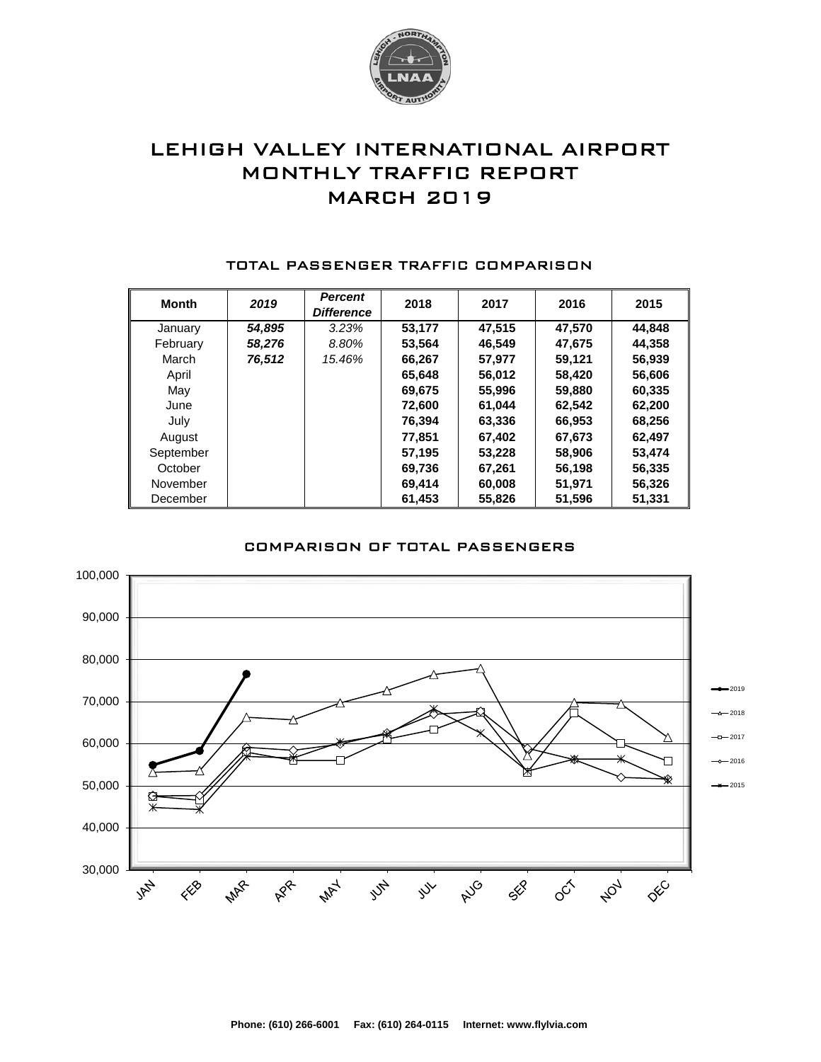

# LEHIGH VALLEY INTERNATIONAL AIRPORT MONTHLY TRAFFIC REPORT MARCH 2019

| <b>Month</b> | 2019   | <b>Percent</b><br><b>Difference</b> | 2018   | 2017   | 2016   | 2015   |
|--------------|--------|-------------------------------------|--------|--------|--------|--------|
| January      | 54,895 | 3.23%                               | 53,177 | 47.515 | 47,570 | 44,848 |
| February     | 58,276 | 8.80%                               | 53,564 | 46,549 | 47,675 | 44,358 |
| March        | 76,512 | 15.46%                              | 66,267 | 57.977 | 59,121 | 56,939 |
| April        |        |                                     | 65,648 | 56,012 | 58,420 | 56,606 |
| May          |        |                                     | 69,675 | 55,996 | 59,880 | 60,335 |
| June         |        |                                     | 72,600 | 61.044 | 62,542 | 62,200 |
| July         |        |                                     | 76,394 | 63,336 | 66,953 | 68,256 |
| August       |        |                                     | 77.851 | 67.402 | 67,673 | 62,497 |
| September    |        |                                     | 57,195 | 53,228 | 58,906 | 53,474 |
| October      |        |                                     | 69,736 | 67,261 | 56,198 | 56,335 |
| November     |        |                                     | 69,414 | 60,008 | 51,971 | 56,326 |
| December     |        |                                     | 61.453 | 55,826 | 51,596 | 51.331 |

#### TOTAL PASSENGER TRAFFIC COMPARISON

### COMPARISON OF TOTAL PASSENGERS

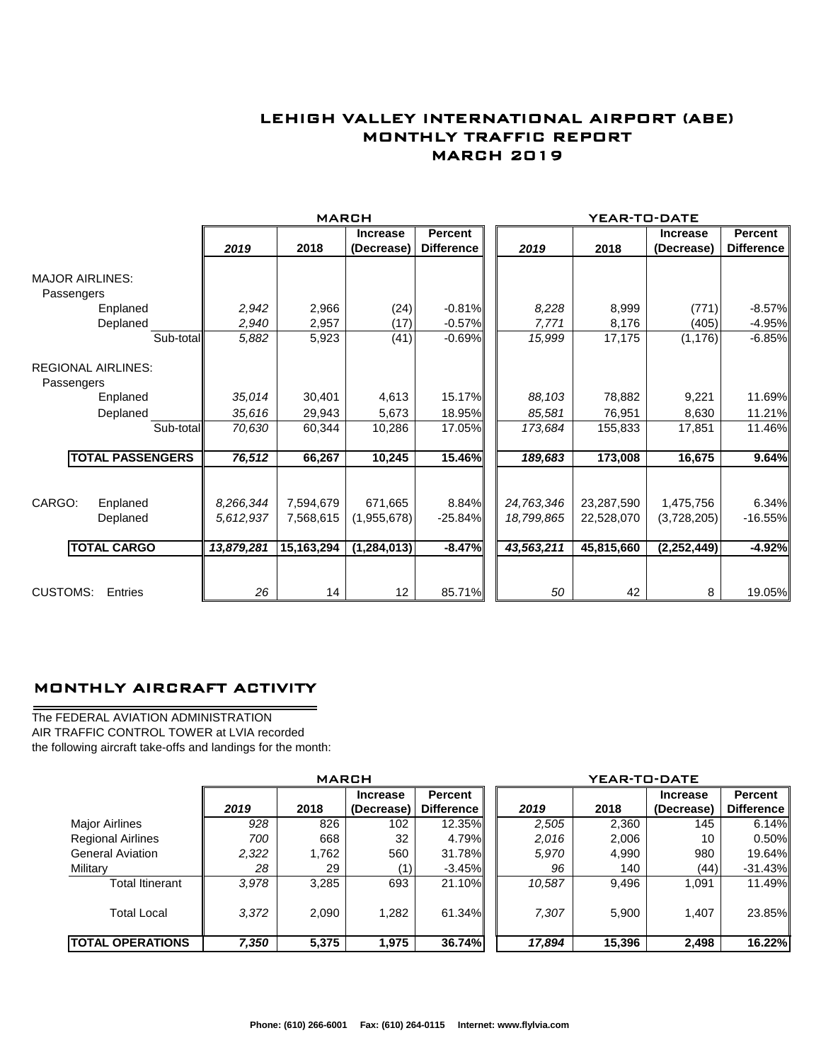## LEHIGH VALLEY INTERNATIONAL AIRPORT (ABE) MONTHLY TRAFFIC REPORT MARCH 2019

|                           |                         |            | <b>MARCH</b> |                               |                                     |            | YEAR-TO-DATE |                               |                                     |  |
|---------------------------|-------------------------|------------|--------------|-------------------------------|-------------------------------------|------------|--------------|-------------------------------|-------------------------------------|--|
|                           |                         | 2019       | 2018         | <b>Increase</b><br>(Decrease) | <b>Percent</b><br><b>Difference</b> | 2019       | 2018         | <b>Increase</b><br>(Decrease) | <b>Percent</b><br><b>Difference</b> |  |
|                           |                         |            |              |                               |                                     |            |              |                               |                                     |  |
| <b>MAJOR AIRLINES:</b>    |                         |            |              |                               |                                     |            |              |                               |                                     |  |
| Passengers                |                         |            |              |                               |                                     |            |              |                               |                                     |  |
|                           | Enplaned                | 2,942      | 2,966        | (24)                          | $-0.81\%$                           | 8,228      | 8,999        | (771)                         | $-8.57%$                            |  |
|                           | Deplaned                | 2,940      | 2,957        | (17)                          | $-0.57%$                            | 7,771      | 8,176        | (405)                         | $-4.95%$                            |  |
|                           | Sub-total               | 5,882      | 5,923        | (41)                          | $-0.69%$                            | 15,999     | 17,175       | (1, 176)                      | $-6.85%$                            |  |
| <b>REGIONAL AIRLINES:</b> |                         |            |              |                               |                                     |            |              |                               |                                     |  |
| Passengers                |                         |            |              |                               |                                     |            |              |                               |                                     |  |
|                           | Enplaned                | 35,014     | 30,401       | 4,613                         | 15.17%                              | 88,103     | 78,882       | 9,221                         | 11.69%                              |  |
|                           | Deplaned                | 35,616     | 29,943       | 5,673                         | 18.95%                              | 85,581     | 76,951       | 8,630                         | 11.21%                              |  |
|                           | Sub-total               | 70,630     | 60,344       | 10,286                        | 17.05%                              | 173,684    | 155,833      | 17,851                        | 11.46%                              |  |
|                           | <b>TOTAL PASSENGERS</b> | 76,512     | 66,267       | 10,245                        | 15.46%                              | 189,683    | 173,008      | 16,675                        | 9.64%                               |  |
|                           |                         |            |              |                               |                                     |            |              |                               |                                     |  |
| CARGO:                    | Enplaned                | 8,266,344  | 7,594,679    | 671,665                       | 8.84%                               | 24,763,346 | 23,287,590   | 1,475,756                     | 6.34%                               |  |
|                           | Deplaned                | 5,612,937  | 7,568,615    | (1,955,678)                   | $-25.84%$                           | 18,799,865 | 22,528,070   | (3,728,205)                   | $-16.55%$                           |  |
|                           | <b>TOTAL CARGO</b>      | 13,879,281 | 15,163,294   | (1, 284, 013)                 | $-8.47%$                            | 43,563,211 | 45,815,660   | (2, 252, 449)                 | $-4.92%$                            |  |
|                           |                         |            |              |                               |                                     |            |              |                               |                                     |  |
| <b>CUSTOMS:</b>           | Entries                 | 26         | 14           | $12 \overline{ }$             | 85.71%                              | 50         | 42           | 8                             | 19.05%                              |  |

### MONTHLY AIRCRAFT ACTIVITY

The FEDERAL AVIATION ADMINISTRATION AIR TRAFFIC CONTROL TOWER at LVIA recorded the following aircraft take-offs and landings for the month:

 $\overline{\phantom{0}}$ 

|                          | <b>MARCH</b> |       |                 |                   | YEAR-TO-DATE |        |                 |                   |  |  |
|--------------------------|--------------|-------|-----------------|-------------------|--------------|--------|-----------------|-------------------|--|--|
|                          |              |       | <b>Increase</b> | <b>Percent</b>    |              |        | <b>Increase</b> | Percent           |  |  |
|                          | 2019         | 2018  | (Decrease)      | <b>Difference</b> | 2019         | 2018   | (Decrease)      | <b>Difference</b> |  |  |
| Major Airlines           | 928          | 826   | 102             | 12.35%            | 2,505        | 2,360  | 145             | 6.14%             |  |  |
| <b>Regional Airlines</b> | 700          | 668   | 32              | 4.79%             | 2,016        | 2,006  | 10              | 0.50%             |  |  |
| <b>General Aviation</b>  | 2,322        | 1,762 | 560             | 31.78%            | 5,970        | 4,990  | 980             | 19.64%            |  |  |
| Military                 | 28           | 29    | (1)             | $-3.45\%$         | 96           | 140    | (44)            | $-31.43\%$        |  |  |
| <b>Total Itinerant</b>   | 3.978        | 3,285 | 693             | 21.10%            | 10,587       | 9,496  | 1.091           | 11.49%            |  |  |
| <b>Total Local</b>       | 3,372        | 2,090 | 1,282           | 61.34%            | 7,307        | 5,900  | 1.407           | 23.85%            |  |  |
| <b>TOTAL OPERATIONS</b>  | 7,350        | 5,375 | 1.975           | 36.74%            | 17,894       | 15,396 | 2,498           | 16.22%            |  |  |